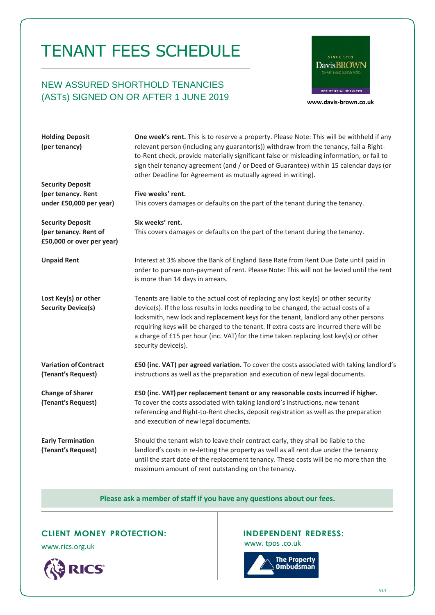# TENANT FEES SCHEDULE

## NEW ASSURED SHORTHOLD TENANCIES (ASTs) SIGNED ON OR AFTER 1 JUNE 2019 **[www.davis-brown.co.uk](http://www.davis-brown.co.uk/)**



| <b>Holding Deposit</b><br>(per tenancy)                                       | One week's rent. This is to reserve a property. Please Note: This will be withheld if any<br>relevant person (including any guarantor(s)) withdraw from the tenancy, fail a Right-<br>to-Rent check, provide materially significant false or misleading information, or fail to<br>sign their tenancy agreement (and / or Deed of Guarantee) within 15 calendar days (or<br>other Deadline for Agreement as mutually agreed in writing).                                       |
|-------------------------------------------------------------------------------|--------------------------------------------------------------------------------------------------------------------------------------------------------------------------------------------------------------------------------------------------------------------------------------------------------------------------------------------------------------------------------------------------------------------------------------------------------------------------------|
| <b>Security Deposit</b>                                                       |                                                                                                                                                                                                                                                                                                                                                                                                                                                                                |
| (per tenancy. Rent<br>under £50,000 per year)                                 | Five weeks' rent.<br>This covers damages or defaults on the part of the tenant during the tenancy.                                                                                                                                                                                                                                                                                                                                                                             |
| <b>Security Deposit</b><br>(per tenancy. Rent of<br>£50,000 or over per year) | Six weeks' rent.<br>This covers damages or defaults on the part of the tenant during the tenancy.                                                                                                                                                                                                                                                                                                                                                                              |
| <b>Unpaid Rent</b>                                                            | Interest at 3% above the Bank of England Base Rate from Rent Due Date until paid in<br>order to pursue non-payment of rent. Please Note: This will not be levied until the rent<br>is more than 14 days in arrears.                                                                                                                                                                                                                                                            |
| Lost Key(s) or other<br><b>Security Device(s)</b>                             | Tenants are liable to the actual cost of replacing any lost key(s) or other security<br>device(s). If the loss results in locks needing to be changed, the actual costs of a<br>locksmith, new lock and replacement keys for the tenant, landlord any other persons<br>requiring keys will be charged to the tenant. If extra costs are incurred there will be<br>a charge of £15 per hour (inc. VAT) for the time taken replacing lost key(s) or other<br>security device(s). |
| <b>Variation of Contract</b><br>(Tenant's Request)                            | £50 (inc. VAT) per agreed variation. To cover the costs associated with taking landlord's<br>instructions as well as the preparation and execution of new legal documents.                                                                                                                                                                                                                                                                                                     |
| <b>Change of Sharer</b><br>(Tenant's Request)                                 | £50 (inc. VAT) per replacement tenant or any reasonable costs incurred if higher.<br>To cover the costs associated with taking landlord's instructions, new tenant<br>referencing and Right-to-Rent checks, deposit registration as well as the preparation<br>and execution of new legal documents.                                                                                                                                                                           |
| <b>Early Termination</b><br>(Tenant's Request)                                | Should the tenant wish to leave their contract early, they shall be liable to the<br>landlord's costs in re-letting the property as well as all rent due under the tenancy<br>until the start date of the replacement tenancy. These costs will be no more than the<br>maximum amount of rent outstanding on the tenancy.                                                                                                                                                      |

### **Please ask a member of staff if you have any questions about our fees.**

## **CLIENT MONEY PROTECTION: INDEPENDENT REDRESS:**



[www.rics.org.uk](http://www.propertymark.co.uk/) www.tpos.co.uk